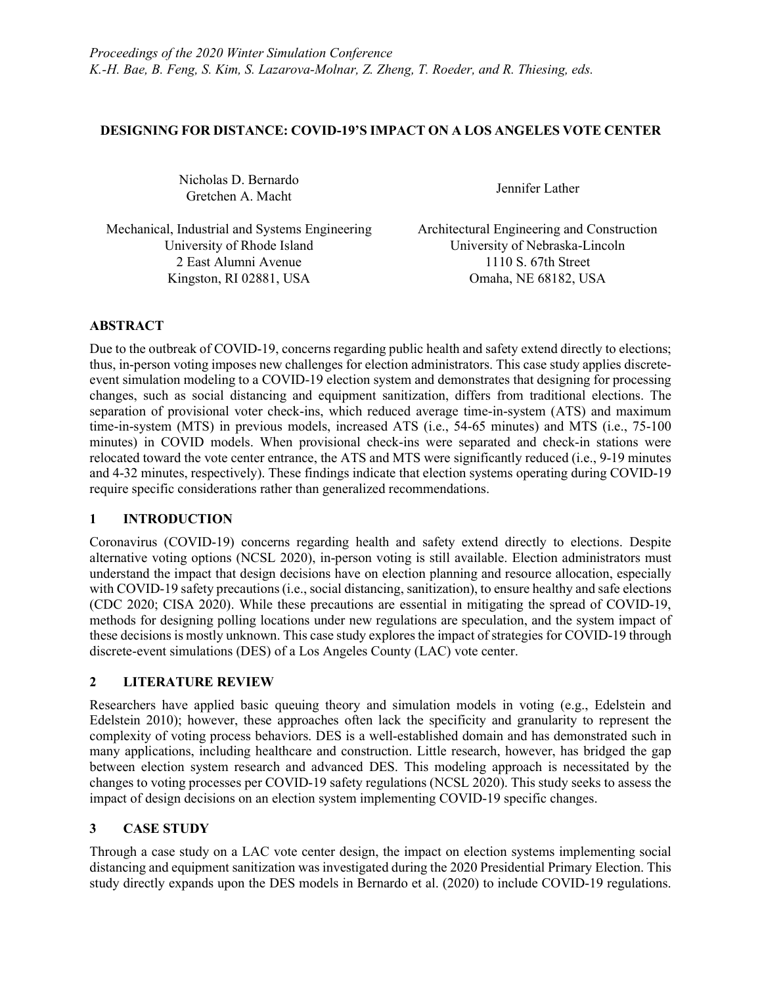### DESIGNING FOR DISTANCE: COVID-19'S IMPACT ON A LOS ANGELES VOTE CENTER

Nicholas D. Bernardo Gretchen A. Macht Jennifer Lather<br>Gretchen A. Macht

Mechanical, Industrial and Systems Engineering Architectural Engineering and Construction University of Rhode Island University of Nebraska-Lincoln 2 East Alumni Avenue 1110 S. 67th Street Kingston, RI 02881, USA Omaha, NE 68182, USA

# ABSTRACT

Due to the outbreak of COVID-19, concerns regarding public health and safety extend directly to elections; thus, in-person voting imposes new challenges for election administrators. This case study applies discreteevent simulation modeling to a COVID-19 election system and demonstrates that designing for processing changes, such as social distancing and equipment sanitization, differs from traditional elections. The separation of provisional voter check-ins, which reduced average time-in-system (ATS) and maximum time-in-system (MTS) in previous models, increased ATS (i.e., 54-65 minutes) and MTS (i.e., 75-100 minutes) in COVID models. When provisional check-ins were separated and check-in stations were relocated toward the vote center entrance, the ATS and MTS were significantly reduced (i.e., 9-19 minutes and 4-32 minutes, respectively). These findings indicate that election systems operating during COVID-19 require specific considerations rather than generalized recommendations.

# 1 INTRODUCTION

Coronavirus (COVID-19) concerns regarding health and safety extend directly to elections. Despite alternative voting options (NCSL 2020), in-person voting is still available. Election administrators must understand the impact that design decisions have on election planning and resource allocation, especially with COVID-19 safety precautions (i.e., social distancing, sanitization), to ensure healthy and safe elections (CDC 2020; CISA 2020). While these precautions are essential in mitigating the spread of COVID-19, methods for designing polling locations under new regulations are speculation, and the system impact of these decisions is mostly unknown. This case study explores the impact of strategies for COVID-19 through discrete-event simulations (DES) of a Los Angeles County (LAC) vote center.

# 2 LITERATURE REVIEW

Researchers have applied basic queuing theory and simulation models in voting (e.g., Edelstein and Edelstein 2010); however, these approaches often lack the specificity and granularity to represent the complexity of voting process behaviors. DES is a well-established domain and has demonstrated such in many applications, including healthcare and construction. Little research, however, has bridged the gap between election system research and advanced DES. This modeling approach is necessitated by the changes to voting processes per COVID-19 safety regulations (NCSL 2020). This study seeks to assess the impact of design decisions on an election system implementing COVID-19 specific changes.

# 3 CASE STUDY

Through a case study on a LAC vote center design, the impact on election systems implementing social distancing and equipment sanitization was investigated during the 2020 Presidential Primary Election. This study directly expands upon the DES models in Bernardo et al. (2020) to include COVID-19 regulations.